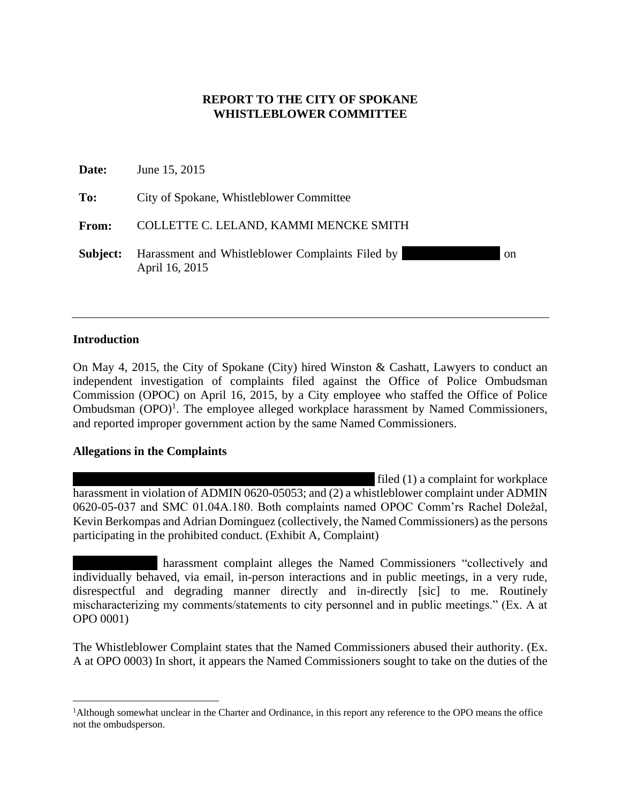### **REPORT TO THE CITY OF SPOKANE WHISTLEBLOWER COMMITTEE**

| Date:        | June 15, 2015                                                                       |  |
|--------------|-------------------------------------------------------------------------------------|--|
| To:          | City of Spokane, Whistleblower Committee                                            |  |
| <b>From:</b> | COLLETTE C. LELAND, KAMMI MENCKE SMITH                                              |  |
| Subject:     | Harassment and Whistleblower Complaints Filed by<br><sub>on</sub><br>April 16, 2015 |  |

#### **Introduction**

 $\overline{a}$ 

On May 4, 2015, the City of Spokane (City) hired Winston & Cashatt, Lawyers to conduct an independent investigation of complaints filed against the Office of Police Ombudsman Commission (OPOC) on April 16, 2015, by a City employee who staffed the Office of Police Ombudsman  $(OPO)^1$ . The employee alleged workplace harassment by Named Commissioners, and reported improper government action by the same Named Commissioners.

#### **Allegations in the Complaints**

filed  $(1)$  a complaint for workplace harassment in violation of ADMIN 0620-05053; and (2) a whistleblower complaint under ADMIN 0620-05-037 and SMC 01.04A.180. Both complaints named OPOC Comm'rs Rachel Doležal, Kevin Berkompas and Adrian Dominguez (collectively, the Named Commissioners) as the persons participating in the prohibited conduct. (Exhibit A, Complaint)

harassment complaint alleges the Named Commissioners "collectively and individually behaved, via email, in-person interactions and in public meetings, in a very rude, disrespectful and degrading manner directly and in-directly [sic] to me. Routinely mischaracterizing my comments/statements to city personnel and in public meetings." (Ex. A at OPO 0001)

The Whistleblower Complaint states that the Named Commissioners abused their authority. (Ex. A at OPO 0003) In short, it appears the Named Commissioners sought to take on the duties of the

<sup>1</sup>Although somewhat unclear in the Charter and Ordinance, in this report any reference to the OPO means the office not the ombudsperson.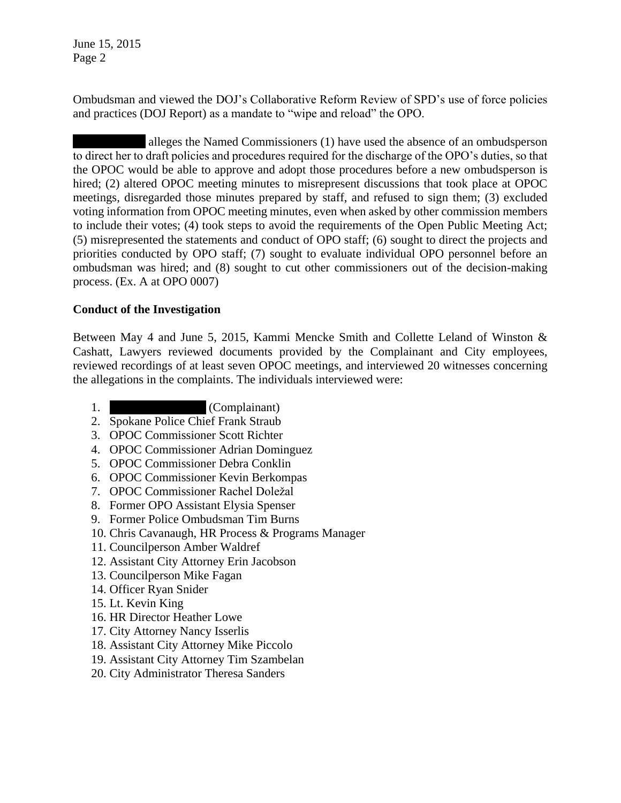Ombudsman and viewed the DOJ's Collaborative Reform Review of SPD's use of force policies and practices (DOJ Report) as a mandate to "wipe and reload" the OPO.

alleges the Named Commissioners (1) have used the absence of an ombudsperson to direct her to draft policies and procedures required for the discharge of the OPO's duties, so that the OPOC would be able to approve and adopt those procedures before a new ombudsperson is hired; (2) altered OPOC meeting minutes to misrepresent discussions that took place at OPOC meetings, disregarded those minutes prepared by staff, and refused to sign them; (3) excluded voting information from OPOC meeting minutes, even when asked by other commission members to include their votes; (4) took steps to avoid the requirements of the Open Public Meeting Act; (5) misrepresented the statements and conduct of OPO staff; (6) sought to direct the projects and priorities conducted by OPO staff; (7) sought to evaluate individual OPO personnel before an ombudsman was hired; and (8) sought to cut other commissioners out of the decision-making process. (Ex. A at OPO 0007)

## **Conduct of the Investigation**

Between May 4 and June 5, 2015, Kammi Mencke Smith and Collette Leland of Winston & Cashatt, Lawyers reviewed documents provided by the Complainant and City employees, reviewed recordings of at least seven OPOC meetings, and interviewed 20 witnesses concerning the allegations in the complaints. The individuals interviewed were:

- 1. Complainant)
- 2. Spokane Police Chief Frank Straub
- 3. OPOC Commissioner Scott Richter
- 4. OPOC Commissioner Adrian Dominguez
- 5. OPOC Commissioner Debra Conklin
- 6. OPOC Commissioner Kevin Berkompas
- 7. OPOC Commissioner Rachel Doležal
- 8. Former OPO Assistant Elysia Spenser
- 9. Former Police Ombudsman Tim Burns
- 10. Chris Cavanaugh, HR Process & Programs Manager
- 11. Councilperson Amber Waldref
- 12. Assistant City Attorney Erin Jacobson
- 13. Councilperson Mike Fagan
- 14. Officer Ryan Snider
- 15. Lt. Kevin King
- 16. HR Director Heather Lowe
- 17. City Attorney Nancy Isserlis
- 18. Assistant City Attorney Mike Piccolo
- 19. Assistant City Attorney Tim Szambelan
- 20. City Administrator Theresa Sanders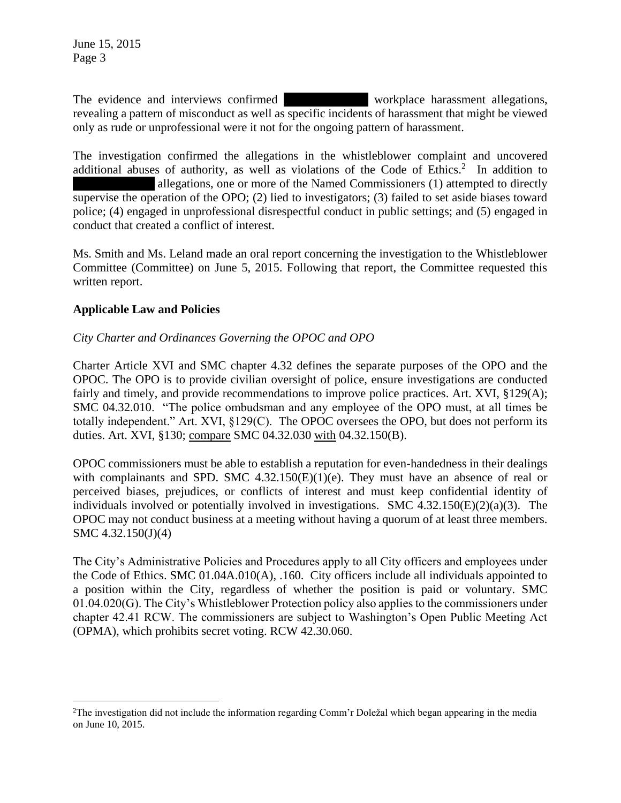The evidence and interviews confirmed Ms. Hollyworkplace harassment allegations, revealing a pattern of misconduct as well as specific incidents of harassment that might be viewed only as rude or unprofessional were it not for the ongoing pattern of harassment.

The investigation confirmed the allegations in the whistleblower complaint and uncovered additional abuses of authority, as well as violations of the Code of Ethics. $2$  In addition to allegations, one or more of the Named Commissioners (1) attempted to directly supervise the operation of the OPO; (2) lied to investigators; (3) failed to set aside biases toward police; (4) engaged in unprofessional disrespectful conduct in public settings; and (5) engaged in conduct that created a conflict of interest.

Ms. Smith and Ms. Leland made an oral report concerning the investigation to the Whistleblower Committee (Committee) on June 5, 2015. Following that report, the Committee requested this written report.

### **Applicable Law and Policies**

 $\overline{a}$ 

### *City Charter and Ordinances Governing the OPOC and OPO*

Charter Article XVI and SMC chapter 4.32 defines the separate purposes of the OPO and the OPOC. The OPO is to provide civilian oversight of police, ensure investigations are conducted fairly and timely, and provide recommendations to improve police practices. Art. XVI, §129(A); SMC 04.32.010. "The police ombudsman and any employee of the OPO must, at all times be totally independent." Art. XVI, §129(C). The OPOC oversees the OPO, but does not perform its duties. Art. XVI, §130; compare SMC 04.32.030 with 04.32.150(B).

OPOC commissioners must be able to establish a reputation for even-handedness in their dealings with complainants and SPD. SMC 4.32.150(E)(1)(e). They must have an absence of real or perceived biases, prejudices, or conflicts of interest and must keep confidential identity of individuals involved or potentially involved in investigations. SMC 4.32.150(E)(2)(a)(3). The OPOC may not conduct business at a meeting without having a quorum of at least three members. SMC 4.32.150(J)(4)

The City's Administrative Policies and Procedures apply to all City officers and employees under the Code of Ethics. SMC 01.04A.010(A), .160. City officers include all individuals appointed to a position within the City, regardless of whether the position is paid or voluntary. SMC 01.04.020(G). The City's Whistleblower Protection policy also applies to the commissioners under chapter 42.41 RCW. The commissioners are subject to Washington's Open Public Meeting Act (OPMA), which prohibits secret voting. RCW 42.30.060.

<sup>2</sup>The investigation did not include the information regarding Comm'r Doležal which began appearing in the media on June 10, 2015.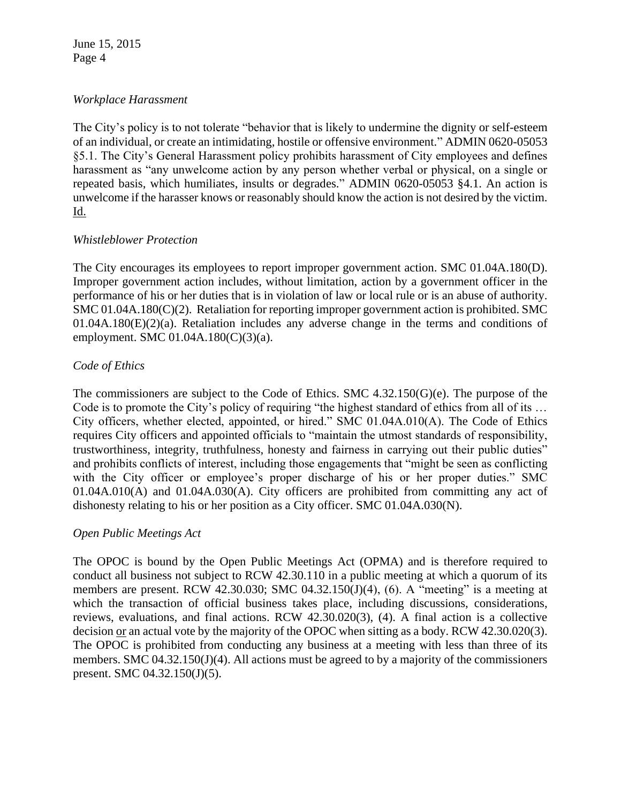#### *Workplace Harassment*

The City's policy is to not tolerate "behavior that is likely to undermine the dignity or self-esteem of an individual, or create an intimidating, hostile or offensive environment." ADMIN 0620-05053 §5.1. The City's General Harassment policy prohibits harassment of City employees and defines harassment as "any unwelcome action by any person whether verbal or physical, on a single or repeated basis, which humiliates, insults or degrades." ADMIN 0620-05053 §4.1. An action is unwelcome if the harasser knows or reasonably should know the action is not desired by the victim. <u>Id.</u>

#### *Whistleblower Protection*

The City encourages its employees to report improper government action. SMC 01.04A.180(D). Improper government action includes, without limitation, action by a government officer in the performance of his or her duties that is in violation of law or local rule or is an abuse of authority. SMC 01.04A.180(C)(2). Retaliation for reporting improper government action is prohibited. SMC 01.04A.180(E)(2)(a). Retaliation includes any adverse change in the terms and conditions of employment. SMC 01.04A.180(C)(3)(a).

### *Code of Ethics*

The commissioners are subject to the Code of Ethics. SMC  $4.32.150(G)(e)$ . The purpose of the Code is to promote the City's policy of requiring "the highest standard of ethics from all of its … City officers, whether elected, appointed, or hired." SMC 01.04A.010(A). The Code of Ethics requires City officers and appointed officials to "maintain the utmost standards of responsibility, trustworthiness, integrity, truthfulness, honesty and fairness in carrying out their public duties" and prohibits conflicts of interest, including those engagements that "might be seen as conflicting with the City officer or employee's proper discharge of his or her proper duties." SMC 01.04A.010(A) and 01.04A.030(A). City officers are prohibited from committing any act of dishonesty relating to his or her position as a City officer. SMC 01.04A.030(N).

#### *Open Public Meetings Act*

The OPOC is bound by the Open Public Meetings Act (OPMA) and is therefore required to conduct all business not subject to RCW 42.30.110 in a public meeting at which a quorum of its members are present. RCW 42.30.030; SMC 04.32.150(J)(4), (6). A "meeting" is a meeting at which the transaction of official business takes place, including discussions, considerations, reviews, evaluations, and final actions. RCW 42.30.020(3), (4). A final action is a collective decision or an actual vote by the majority of the OPOC when sitting as a body. RCW 42.30.020(3). The OPOC is prohibited from conducting any business at a meeting with less than three of its members. SMC 04.32.150(J)(4). All actions must be agreed to by a majority of the commissioners present. SMC 04.32.150(J)(5).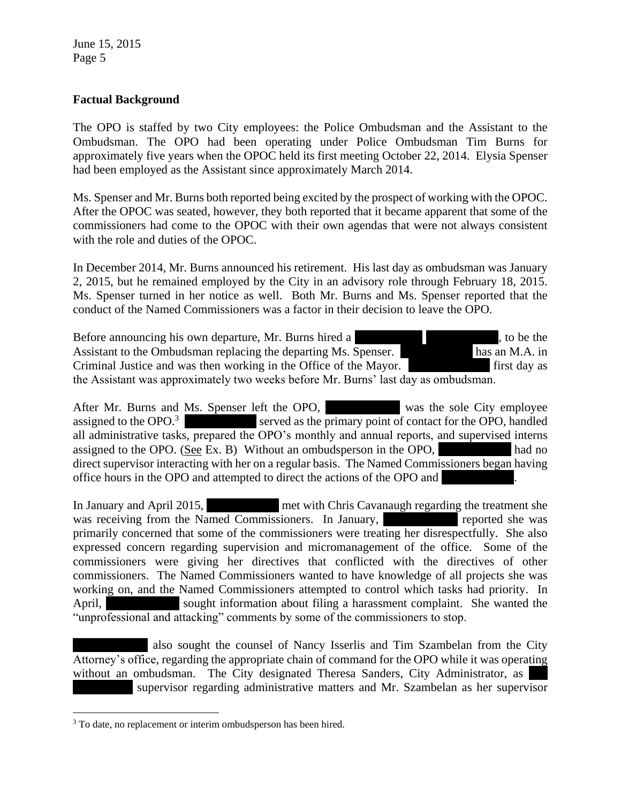### **Factual Background**

The OPO is staffed by two City employees: the Police Ombudsman and the Assistant to the Ombudsman. The OPO had been operating under Police Ombudsman Tim Burns for approximately five years when the OPOC held its first meeting October 22, 2014. Elysia Spenser had been employed as the Assistant since approximately March 2014.

Ms. Spenser and Mr. Burns both reported being excited by the prospect of working with the OPOC. After the OPOC was seated, however, they both reported that it became apparent that some of the commissioners had come to the OPOC with their own agendas that were not always consistent with the role and duties of the OPOC.

In December 2014, Mr. Burns announced his retirement. His last day as ombudsman was January 2, 2015, but he remained employed by the City in an advisory role through February 18, 2015. Ms. Spenser turned in her notice as well. Both Mr. Burns and Ms. Spenser reported that the conduct of the Named Commissioners was a factor in their decision to leave the OPO.

Before announcing his own departure, Mr. Burns hired a former internal former internal former internal former internal former internal former internal former internal former internal former internal former internal former Assistant to the Ombudsman replacing the departing Ms. Spenser. has an M.A. in Criminal Justice and was then working in the Office of the Mayor. First day as the Assistant was approximately two weeks before Mr. Burns' last day as ombudsman.

After Mr. Burns and Ms. Spenser left the OPO, was the sole City employee assigned to the OPO. $3 \times 1$  served as the primary point of contact for the OPO, handled all administrative tasks, prepared the OPO's monthly and annual reports, and supervised interns assigned to the OPO. (See Ex. B) Without an ombudsperson in the OPO, had no direct supervisor interacting with her on a regular basis. The Named Commissioners began having office hours in the OPO and attempted to direct the actions of the OPO and

In January and April 2015, met with Chris Cavanaugh regarding the treatment she was receiving from the Named Commissioners. In January,  $\blacksquare$  The reported she was primarily concerned that some of the commissioners were treating her disrespectfully. She also expressed concern regarding supervision and micromanagement of the office. Some of the commissioners were giving her directives that conflicted with the directives of other commissioners. The Named Commissioners wanted to have knowledge of all projects she was working on, and the Named Commissioners attempted to control which tasks had priority. In April, Shellwedel sought information about filing a harassment complaint. She wanted the "unprofessional and attacking" comments by some of the commissioners to stop.

also sought the counsel of Nancy Isserlis and Tim Szambelan from the City Attorney's office, regarding the appropriate chain of command for the OPO while it was operating without an ombudsman. The City designated Theresa Sanders, City Administrator, as supervisor regarding administrative matters and Mr. Szambelan as her supervisor

 $\overline{a}$ <sup>3</sup> To date, no replacement or interim ombudsperson has been hired.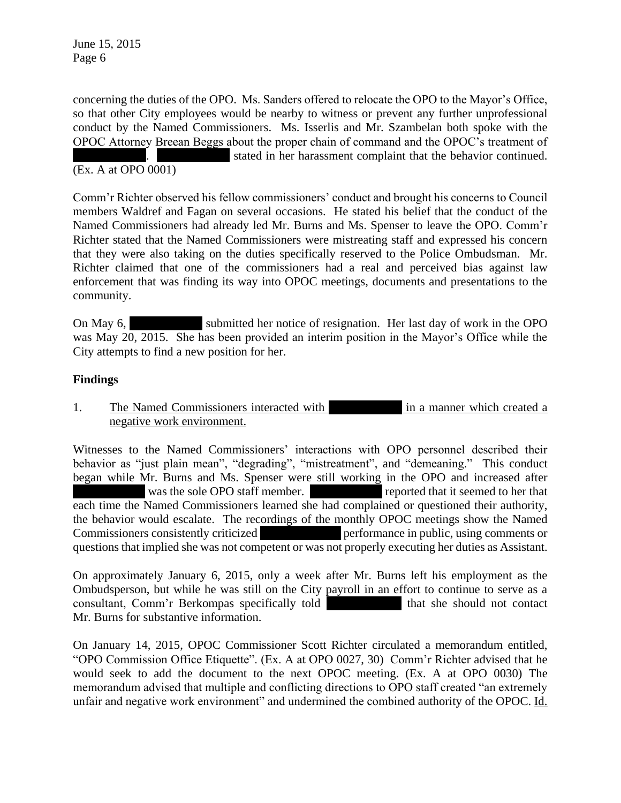concerning the duties of the OPO. Ms. Sanders offered to relocate the OPO to the Mayor's Office, so that other City employees would be nearby to witness or prevent any further unprofessional conduct by the Named Commissioners. Ms. Isserlis and Mr. Szambelan both spoke with the OPOC Attorney Breean Beggs about the proper chain of command and the OPOC's treatment of stated in her harassment complaint that the behavior continued.

#### (Ex. A at OPO 0001)

Comm'r Richter observed his fellow commissioners' conduct and brought his concerns to Council members Waldref and Fagan on several occasions. He stated his belief that the conduct of the Named Commissioners had already led Mr. Burns and Ms. Spenser to leave the OPO. Comm'r Richter stated that the Named Commissioners were mistreating staff and expressed his concern that they were also taking on the duties specifically reserved to the Police Ombudsman. Mr. Richter claimed that one of the commissioners had a real and perceived bias against law enforcement that was finding its way into OPOC meetings, documents and presentations to the community.

On May 6, submitted her notice of resignation. Her last day of work in the OPO was May 20, 2015. She has been provided an interim position in the Mayor's Office while the City attempts to find a new position for her.

#### **Findings**

1. The Named Commissioners interacted with  $\frac{1}{10}$  in a manner which created a negative work environment.

Witnesses to the Named Commissioners' interactions with OPO personnel described their behavior as "just plain mean", "degrading", "mistreatment", and "demeaning." This conduct began while Mr. Burns and Ms. Spenser were still working in the OPO and increased after was the sole OPO staff member. The reported that it seemed to her that each time the Named Commissioners learned she had complained or questioned their authority, the behavior would escalate. The recordings of the monthly OPOC meetings show the Named Commissioners consistently criticized **Musical** performance in public, using comments or questions that implied she was not competent or was not properly executing her duties as Assistant.

On approximately January 6, 2015, only a week after Mr. Burns left his employment as the Ombudsperson, but while he was still on the City payroll in an effort to continue to serve as a consultant, Comm'r Berkompas specifically told that she should not contact Mr. Burns for substantive information.

On January 14, 2015, OPOC Commissioner Scott Richter circulated a memorandum entitled, "OPO Commission Office Etiquette". (Ex. A at OPO 0027, 30) Comm'r Richter advised that he would seek to add the document to the next OPOC meeting. (Ex. A at OPO 0030) The memorandum advised that multiple and conflicting directions to OPO staff created "an extremely unfair and negative work environment" and undermined the combined authority of the OPOC. Id.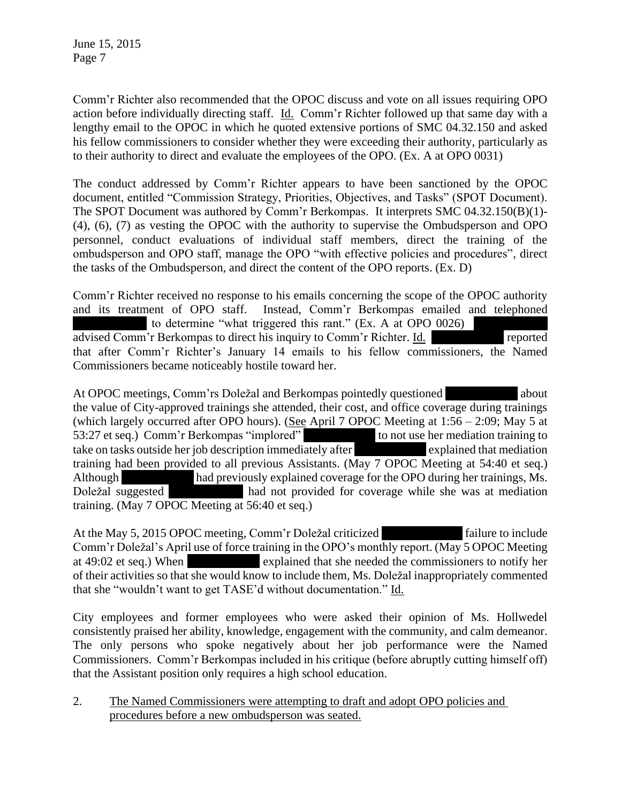Comm'r Richter also recommended that the OPOC discuss and vote on all issues requiring OPO action before individually directing staff. Id. Comm'r Richter followed up that same day with a lengthy email to the OPOC in which he quoted extensive portions of SMC 04.32.150 and asked his fellow commissioners to consider whether they were exceeding their authority, particularly as to their authority to direct and evaluate the employees of the OPO. (Ex. A at OPO 0031)

The conduct addressed by Comm'r Richter appears to have been sanctioned by the OPOC document, entitled "Commission Strategy, Priorities, Objectives, and Tasks" (SPOT Document). The SPOT Document was authored by Comm'r Berkompas. It interprets SMC 04.32.150(B)(1)- (4), (6), (7) as vesting the OPOC with the authority to supervise the Ombudsperson and OPO personnel, conduct evaluations of individual staff members, direct the training of the ombudsperson and OPO staff, manage the OPO "with effective policies and procedures", direct the tasks of the Ombudsperson, and direct the content of the OPO reports. (Ex. D)

Comm'r Richter received no response to his emails concerning the scope of the OPOC authority and its treatment of OPO staff. Instead, Comm'r Berkompas emailed and telephoned to determine "what triggered this rant." (Ex. A at OPO 0026) advised Comm'r Berkompas to direct his inquiry to Comm'r Richter. Id. The reported that after Comm'r Richter's January 14 emails to his fellow commissioners, the Named Commissioners became noticeably hostile toward her.

At OPOC meetings, Comm'rs Doležal and Berkompas pointedly questioned about about the value of City-approved trainings she attended, their cost, and office coverage during trainings (which largely occurred after OPO hours). (See April 7 OPOC Meeting at 1:56 – 2:09; May 5 at 53:27 et seq.) Comm'r Berkompas "implored" to not use her mediation training to take on tasks outside her job description immediately after **Music explained that mediation** training had been provided to all previous Assistants. (May 7 OPOC Meeting at 54:40 et seq.) Although had previously explained coverage for the OPO during her trainings, Ms. Doležal suggested had not provided for coverage while she was at mediation training. (May 7 OPOC Meeting at 56:40 et seq.)

At the May 5, 2015 OPOC meeting, Comm'r Doležal criticized failure to include Comm'r Doležal's April use of force training in the OPO's monthly report. (May 5 OPOC Meeting at 49:02 et seq.) When explained that she needed the commissioners to notify her of their activities so that she would know to include them, Ms. Doležal inappropriately commented that she "wouldn't want to get TASE'd without documentation." Id.

City employees and former employees who were asked their opinion of Ms. Hollwedel consistently praised her ability, knowledge, engagement with the community, and calm demeanor. The only persons who spoke negatively about her job performance were the Named Commissioners. Comm'r Berkompas included in his critique (before abruptly cutting himself off) that the Assistant position only requires a high school education.

2. The Named Commissioners were attempting to draft and adopt OPO policies and procedures before a new ombudsperson was seated.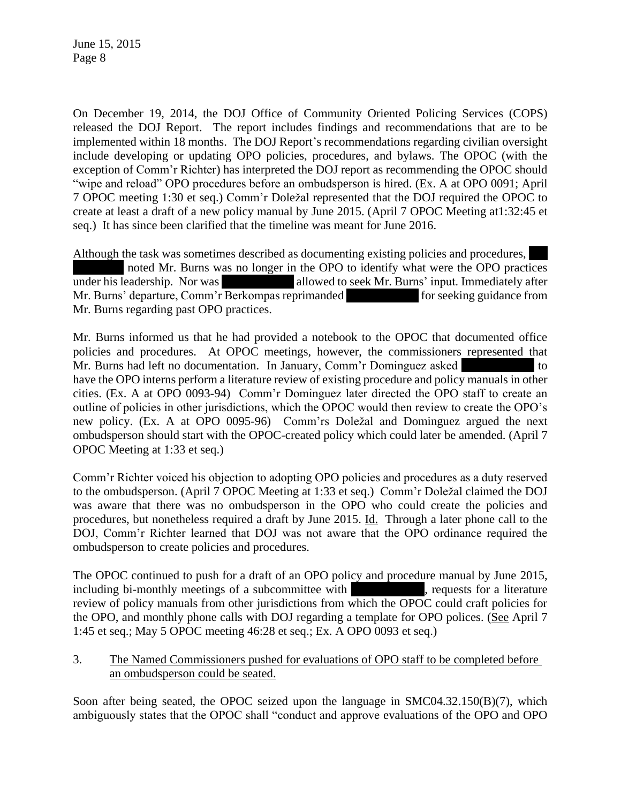On December 19, 2014, the DOJ Office of Community Oriented Policing Services (COPS) released the DOJ Report. The report includes findings and recommendations that are to be implemented within 18 months. The DOJ Report's recommendations regarding civilian oversight include developing or updating OPO policies, procedures, and bylaws. The OPOC (with the exception of Comm'r Richter) has interpreted the DOJ report as recommending the OPOC should "wipe and reload" OPO procedures before an ombudsperson is hired. (Ex. A at OPO 0091; April 7 OPOC meeting 1:30 et seq.) Comm'r Doležal represented that the DOJ required the OPOC to create at least a draft of a new policy manual by June 2015. (April 7 OPOC Meeting at1:32:45 et seq.) It has since been clarified that the timeline was meant for June 2016.

Although the task was sometimes described as documenting existing policies and procedures, noted Mr. Burns was no longer in the OPO to identify what were the OPO practices under his leadership. Nor was allowed to seek Mr. Burns' input. Immediately after Mr. Burns' departure, Comm'r Berkompas reprimanded for seeking guidance from Mr. Burns regarding past OPO practices.

Mr. Burns informed us that he had provided a notebook to the OPOC that documented office policies and procedures. At OPOC meetings, however, the commissioners represented that Mr. Burns had left no documentation. In January, Comm'r Dominguez asked to to have the OPO interns perform a literature review of existing procedure and policy manuals in other cities. (Ex. A at OPO 0093-94) Comm'r Dominguez later directed the OPO staff to create an outline of policies in other jurisdictions, which the OPOC would then review to create the OPO's new policy. (Ex. A at OPO 0095-96) Comm'rs Doležal and Dominguez argued the next ombudsperson should start with the OPOC-created policy which could later be amended. (April 7 OPOC Meeting at 1:33 et seq.)

Comm'r Richter voiced his objection to adopting OPO policies and procedures as a duty reserved to the ombudsperson. (April 7 OPOC Meeting at 1:33 et seq.) Comm'r Doležal claimed the DOJ was aware that there was no ombudsperson in the OPO who could create the policies and procedures, but nonetheless required a draft by June 2015. Id. Through a later phone call to the DOJ, Comm'r Richter learned that DOJ was not aware that the OPO ordinance required the ombudsperson to create policies and procedures.

The OPOC continued to push for a draft of an OPO policy and procedure manual by June 2015, including bi-monthly meetings of a subcommittee with subsets we requests for a literature review of policy manuals from other jurisdictions from which the OPOC could craft policies for the OPO, and monthly phone calls with DOJ regarding a template for OPO polices. (See April 7 1:45 et seq.; May 5 OPOC meeting 46:28 et seq.; Ex. A OPO 0093 et seq.)

3. The Named Commissioners pushed for evaluations of OPO staff to be completed before an ombudsperson could be seated.

Soon after being seated, the OPOC seized upon the language in SMC04.32.150(B)(7), which ambiguously states that the OPOC shall "conduct and approve evaluations of the OPO and OPO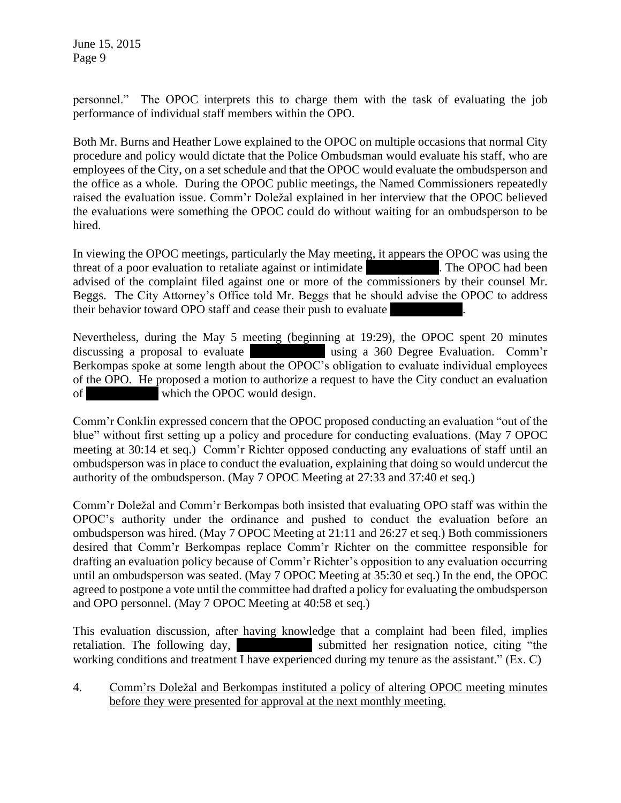personnel." The OPOC interprets this to charge them with the task of evaluating the job performance of individual staff members within the OPO.

Both Mr. Burns and Heather Lowe explained to the OPOC on multiple occasions that normal City procedure and policy would dictate that the Police Ombudsman would evaluate his staff, who are employees of the City, on a set schedule and that the OPOC would evaluate the ombudsperson and the office as a whole. During the OPOC public meetings, the Named Commissioners repeatedly raised the evaluation issue. Comm'r Doležal explained in her interview that the OPOC believed the evaluations were something the OPOC could do without waiting for an ombudsperson to be hired.

In viewing the OPOC meetings, particularly the May meeting, it appears the OPOC was using the threat of a poor evaluation to retaliate against or intimidate Ms. The OPOC had been advised of the complaint filed against one or more of the commissioners by their counsel Mr. Beggs. The City Attorney's Office told Mr. Beggs that he should advise the OPOC to address their behavior toward OPO staff and cease their push to evaluate

Nevertheless, during the May 5 meeting (beginning at 19:29), the OPOC spent 20 minutes discussing a proposal to evaluate Ms. Hollands using a 360 Degree Evaluation. Comm'r Berkompas spoke at some length about the OPOC's obligation to evaluate individual employees of the OPO. He proposed a motion to authorize a request to have the City conduct an evaluation of which the OPOC would design.

Comm'r Conklin expressed concern that the OPOC proposed conducting an evaluation "out of the blue" without first setting up a policy and procedure for conducting evaluations. (May 7 OPOC meeting at 30:14 et seq.) Comm'r Richter opposed conducting any evaluations of staff until an ombudsperson was in place to conduct the evaluation, explaining that doing so would undercut the authority of the ombudsperson. (May 7 OPOC Meeting at 27:33 and 37:40 et seq.)

Comm'r Doležal and Comm'r Berkompas both insisted that evaluating OPO staff was within the OPOC's authority under the ordinance and pushed to conduct the evaluation before an ombudsperson was hired. (May 7 OPOC Meeting at 21:11 and 26:27 et seq.) Both commissioners desired that Comm'r Berkompas replace Comm'r Richter on the committee responsible for drafting an evaluation policy because of Comm'r Richter's opposition to any evaluation occurring until an ombudsperson was seated. (May 7 OPOC Meeting at 35:30 et seq.) In the end, the OPOC agreed to postpone a vote until the committee had drafted a policy for evaluating the ombudsperson and OPO personnel. (May 7 OPOC Meeting at 40:58 et seq.)

This evaluation discussion, after having knowledge that a complaint had been filed, implies retaliation. The following day, Submitted her resignation notice, citing "the working conditions and treatment I have experienced during my tenure as the assistant." (Ex. C)

4. Comm'rs Doležal and Berkompas instituted a policy of altering OPOC meeting minutes before they were presented for approval at the next monthly meeting.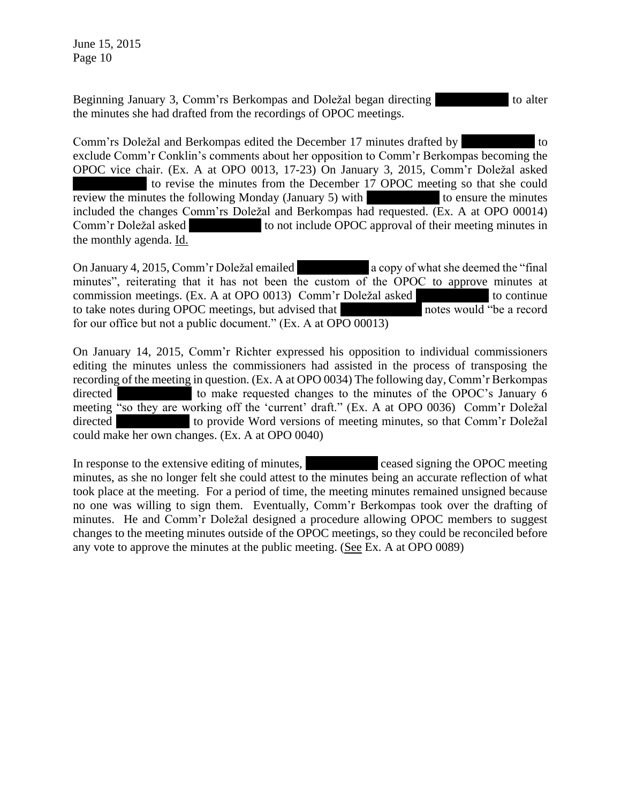Beginning January 3, Comm'rs Berkompas and Doležal began directing to alter the minutes she had drafted from the recordings of OPOC meetings.

Comm'rs Doležal and Berkompas edited the December 17 minutes drafted by Montes to exclude Comm'r Conklin's comments about her opposition to Comm'r Berkompas becoming the OPOC vice chair. (Ex. A at OPO 0013, 17-23) On January 3, 2015, Comm'r Doležal asked to revise the minutes from the December 17 OPOC meeting so that she could review the minutes the following Monday (January 5) with to ensure the minutes included the changes Comm'rs Doležal and Berkompas had requested. (Ex. A at OPO 00014) Comm'r Doležal asked to not include OPOC approval of their meeting minutes in the monthly agenda. Id.

On January 4, 2015, Comm'r Doležal emailed a copy of what she deemed the "final" minutes", reiterating that it has not been the custom of the OPOC to approve minutes at commission meetings. (Ex. A at OPO 0013) Comm'r Doležal asked to continue to take notes during OPOC meetings, but advised that holds notes would "be a record for our office but not a public document." (Ex. A at OPO 00013)

On January 14, 2015, Comm'r Richter expressed his opposition to individual commissioners editing the minutes unless the commissioners had assisted in the process of transposing the recording of the meeting in question. (Ex. A at OPO 0034) The following day, Comm'r Berkompas directed to make requested changes to the minutes of the OPOC's January 6 meeting "so they are working off the 'current' draft." (Ex. A at OPO 0036) Comm'r Doležal directed to provide Word versions of meeting minutes, so that Comm'r Doležal could make her own changes. (Ex. A at OPO 0040)

In response to the extensive editing of minutes, ceased signing the OPOC meeting minutes, as she no longer felt she could attest to the minutes being an accurate reflection of what took place at the meeting. For a period of time, the meeting minutes remained unsigned because no one was willing to sign them. Eventually, Comm'r Berkompas took over the drafting of minutes. He and Comm'r Doležal designed a procedure allowing OPOC members to suggest changes to the meeting minutes outside of the OPOC meetings, so they could be reconciled before any vote to approve the minutes at the public meeting. (See Ex. A at OPO 0089)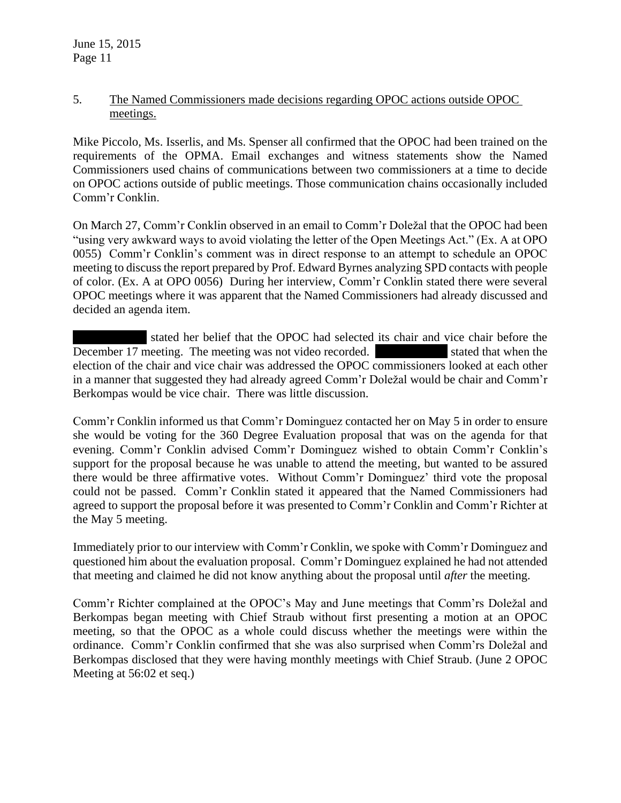### 5. The Named Commissioners made decisions regarding OPOC actions outside OPOC meetings.

Mike Piccolo, Ms. Isserlis, and Ms. Spenser all confirmed that the OPOC had been trained on the requirements of the OPMA. Email exchanges and witness statements show the Named Commissioners used chains of communications between two commissioners at a time to decide on OPOC actions outside of public meetings. Those communication chains occasionally included Comm'r Conklin.

On March 27, Comm'r Conklin observed in an email to Comm'r Doležal that the OPOC had been "using very awkward ways to avoid violating the letter of the Open Meetings Act." (Ex. A at OPO 0055) Comm'r Conklin's comment was in direct response to an attempt to schedule an OPOC meeting to discuss the report prepared by Prof. Edward Byrnes analyzing SPD contacts with people of color. (Ex. A at OPO 0056) During her interview, Comm'r Conklin stated there were several OPOC meetings where it was apparent that the Named Commissioners had already discussed and decided an agenda item.

stated her belief that the OPOC had selected its chair and vice chair before the December 17 meeting. The meeting was not video recorded. Stated that when the election of the chair and vice chair was addressed the OPOC commissioners looked at each other in a manner that suggested they had already agreed Comm'r Doležal would be chair and Comm'r Berkompas would be vice chair. There was little discussion.

Comm'r Conklin informed us that Comm'r Dominguez contacted her on May 5 in order to ensure she would be voting for the 360 Degree Evaluation proposal that was on the agenda for that evening. Comm'r Conklin advised Comm'r Dominguez wished to obtain Comm'r Conklin's support for the proposal because he was unable to attend the meeting, but wanted to be assured there would be three affirmative votes. Without Comm'r Dominguez' third vote the proposal could not be passed. Comm'r Conklin stated it appeared that the Named Commissioners had agreed to support the proposal before it was presented to Comm'r Conklin and Comm'r Richter at the May 5 meeting.

Immediately prior to our interview with Comm'r Conklin, we spoke with Comm'r Dominguez and questioned him about the evaluation proposal. Comm'r Dominguez explained he had not attended that meeting and claimed he did not know anything about the proposal until *after* the meeting.

Comm'r Richter complained at the OPOC's May and June meetings that Comm'rs Doležal and Berkompas began meeting with Chief Straub without first presenting a motion at an OPOC meeting, so that the OPOC as a whole could discuss whether the meetings were within the ordinance. Comm'r Conklin confirmed that she was also surprised when Comm'rs Doležal and Berkompas disclosed that they were having monthly meetings with Chief Straub. (June 2 OPOC Meeting at 56:02 et seq.)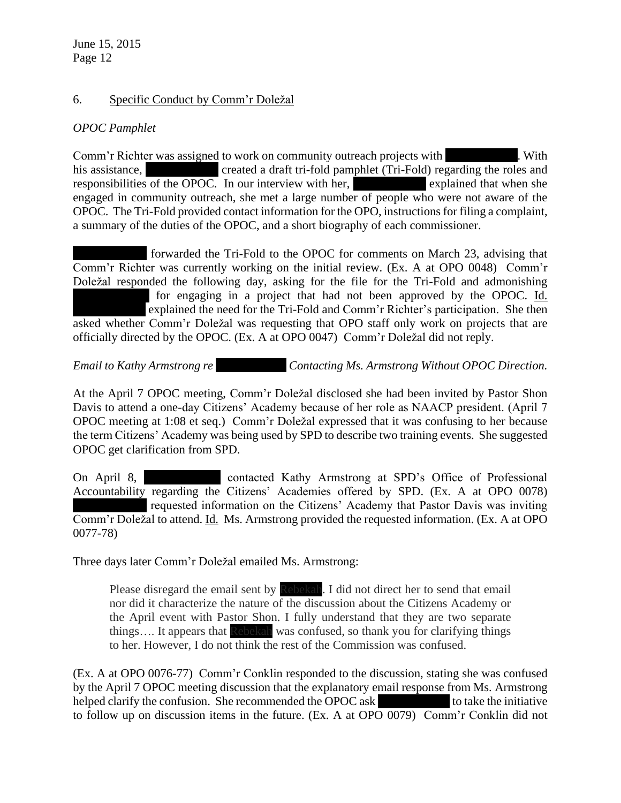### 6. Specific Conduct by Comm'r Doležal

# *OPOC Pamphlet*

Comm'r Richter was assigned to work on community outreach projects with Nulle Ms. With his assistance, The Created a draft tri-fold pamphlet (Tri-Fold) regarding the roles and responsibilities of the OPOC. In our interview with her, explained that when she engaged in community outreach, she met a large number of people who were not aware of the OPOC. The Tri-Fold provided contact information for the OPO, instructions for filing a complaint, a summary of the duties of the OPOC, and a short biography of each commissioner.

forwarded the Tri-Fold to the OPOC for comments on March 23, advising that Comm'r Richter was currently working on the initial review. (Ex. A at OPO 0048) Comm'r Doležal responded the following day, asking for the file for the Tri-Fold and admonishing for engaging in a project that had not been approved by the OPOC. Id. explained the need for the Tri-Fold and Comm'r Richter's participation. She then asked whether Comm'r Doležal was requesting that OPO staff only work on projects that are officially directed by the OPOC. (Ex. A at OPO 0047) Comm'r Doležal did not reply.

*Email to Kathy Armstrong re Contacting Ms. Armstrong Without OPOC Direction.* 

At the April 7 OPOC meeting, Comm'r Doležal disclosed she had been invited by Pastor Shon Davis to attend a one-day Citizens' Academy because of her role as NAACP president. (April 7 OPOC meeting at 1:08 et seq.) Comm'r Doležal expressed that it was confusing to her because the term Citizens' Academy was being used by SPD to describe two training events. She suggested OPOC get clarification from SPD.

On April 8, The contacted Kathy Armstrong at SPD's Office of Professional Accountability regarding the Citizens' Academies offered by SPD. (Ex. A at OPO 0078) requested information on the Citizens' Academy that Pastor Davis was inviting Comm'r Doležal to attend. Id. Ms. Armstrong provided the requested information. (Ex. A at OPO 0077-78)

Three days later Comm'r Doležal emailed Ms. Armstrong:

Please disregard the email sent by Rebekah. I did not direct her to send that email nor did it characterize the nature of the discussion about the Citizens Academy or the April event with Pastor Shon. I fully understand that they are two separate things.... It appears that Rebekah was confused, so thank you for clarifying things to her. However, I do not think the rest of the Commission was confused.

(Ex. A at OPO 0076-77) Comm'r Conklin responded to the discussion, stating she was confused by the April 7 OPOC meeting discussion that the explanatory email response from Ms. Armstrong helped clarify the confusion. She recommended the OPOC ask to take the initiative to follow up on discussion items in the future. (Ex. A at OPO 0079) Comm'r Conklin did not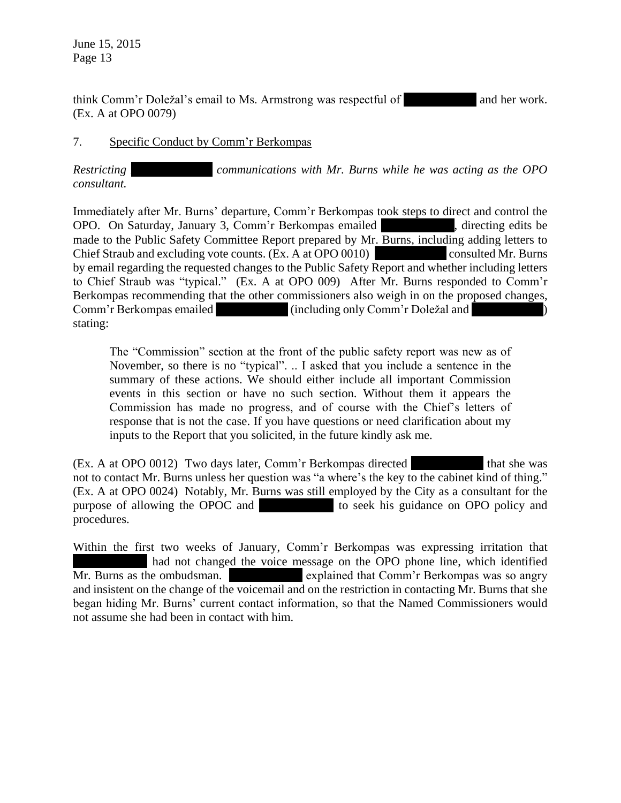think Comm'r Doležal's email to Ms. Armstrong was respectful of  $\blacksquare$  and her work. (Ex. A at OPO 0079)

### 7. Specific Conduct by Comm'r Berkompas

*Restricting communications with Mr. Burns while he was acting as the OPO consultant.*

Immediately after Mr. Burns' departure, Comm'r Berkompas took steps to direct and control the OPO. On Saturday, January 3, Comm'r Berkompas emailed directing edits be made to the Public Safety Committee Report prepared by Mr. Burns, including adding letters to Chief Straub and excluding vote counts. (Ex. A at OPO 0010) consulted Mr. Burns by email regarding the requested changes to the Public Safety Report and whether including letters to Chief Straub was "typical." (Ex. A at OPO 009) After Mr. Burns responded to Comm'r Berkompas recommending that the other commissioners also weigh in on the proposed changes, Comm'r Berkompas emailed (including only Comm'r Doležal and stating:

The "Commission" section at the front of the public safety report was new as of November, so there is no "typical". .. I asked that you include a sentence in the summary of these actions. We should either include all important Commission events in this section or have no such section. Without them it appears the Commission has made no progress, and of course with the Chief's letters of response that is not the case. If you have questions or need clarification about my inputs to the Report that you solicited, in the future kindly ask me.

(Ex. A at OPO 0012) Two days later, Comm'r Berkompas directed that she was not to contact Mr. Burns unless her question was "a where's the key to the cabinet kind of thing." (Ex. A at OPO 0024) Notably, Mr. Burns was still employed by the City as a consultant for the purpose of allowing the OPOC and  $\blacksquare$  to seek his guidance on OPO policy and procedures.

Within the first two weeks of January, Comm'r Berkompas was expressing irritation that had not changed the voice message on the OPO phone line, which identified Mr. Burns as the ombudsman. explained that Comm'r Berkompas was so angry and insistent on the change of the voicemail and on the restriction in contacting Mr. Burns that she began hiding Mr. Burns' current contact information, so that the Named Commissioners would not assume she had been in contact with him.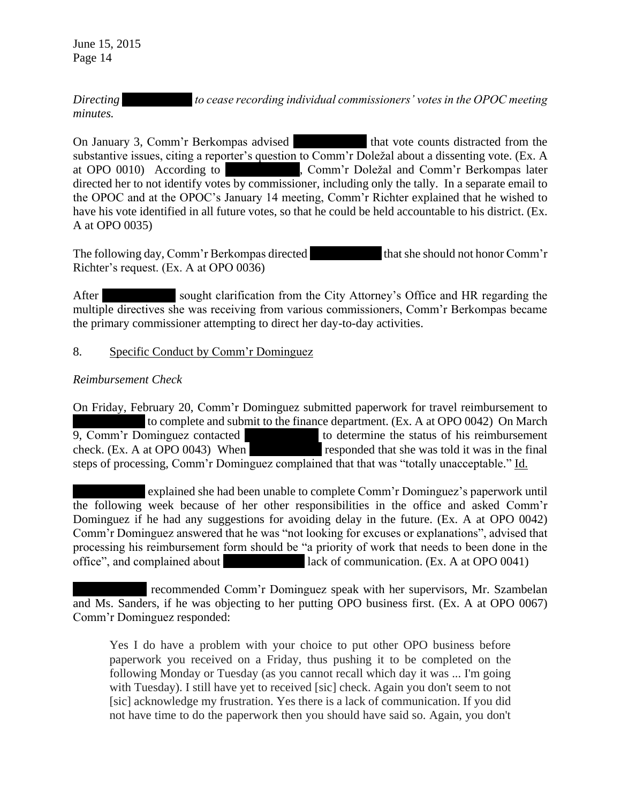*Directing to cease recording individual commissioners' votes in the OPOC meeting minutes.*

On January 3, Comm'r Berkompas advised that vote counts distracted from the substantive issues, citing a reporter's question to Comm'r Doležal about a dissenting vote. (Ex. A at OPO 0010) According to **Ms. According to Ms. Hollweith**, Comm'r Doležal and Comm'r Berkompas later directed her to not identify votes by commissioner, including only the tally. In a separate email to the OPOC and at the OPOC's January 14 meeting, Comm'r Richter explained that he wished to have his vote identified in all future votes, so that he could be held accountable to his district. (Ex. A at OPO 0035)

The following day, Comm'r Berkompas directed that she should not honor Comm'r Richter's request. (Ex. A at OPO 0036)

After sought clarification from the City Attorney's Office and HR regarding the multiple directives she was receiving from various commissioners, Comm'r Berkompas became the primary commissioner attempting to direct her day-to-day activities.

### 8. Specific Conduct by Comm'r Dominguez

### *Reimbursement Check*

On Friday, February 20, Comm'r Dominguez submitted paperwork for travel reimbursement to to complete and submit to the finance department. (Ex. A at OPO 0042) On March 9, Comm'r Dominguez contacted to determine the status of his reimbursement check. (Ex. A at OPO 0043) When responded that she was told it was in the final steps of processing, Comm'r Dominguez complained that that was "totally unacceptable." Id.

explained she had been unable to complete Comm'r Dominguez's paperwork until the following week because of her other responsibilities in the office and asked Comm'r Dominguez if he had any suggestions for avoiding delay in the future. (Ex. A at OPO 0042) Comm'r Dominguez answered that he was "not looking for excuses or explanations", advised that processing his reimbursement form should be "a priority of work that needs to been done in the office", and complained about lack of communication. (Ex. A at OPO 0041)

recommended Comm'r Dominguez speak with her supervisors, Mr. Szambelan and Ms. Sanders, if he was objecting to her putting OPO business first. (Ex. A at OPO 0067) Comm'r Dominguez responded:

Yes I do have a problem with your choice to put other OPO business before paperwork you received on a Friday, thus pushing it to be completed on the following Monday or Tuesday (as you cannot recall which day it was ... I'm going with Tuesday). I still have yet to received [sic] check. Again you don't seem to not [sic] acknowledge my frustration. Yes there is a lack of communication. If you did not have time to do the paperwork then you should have said so. Again, you don't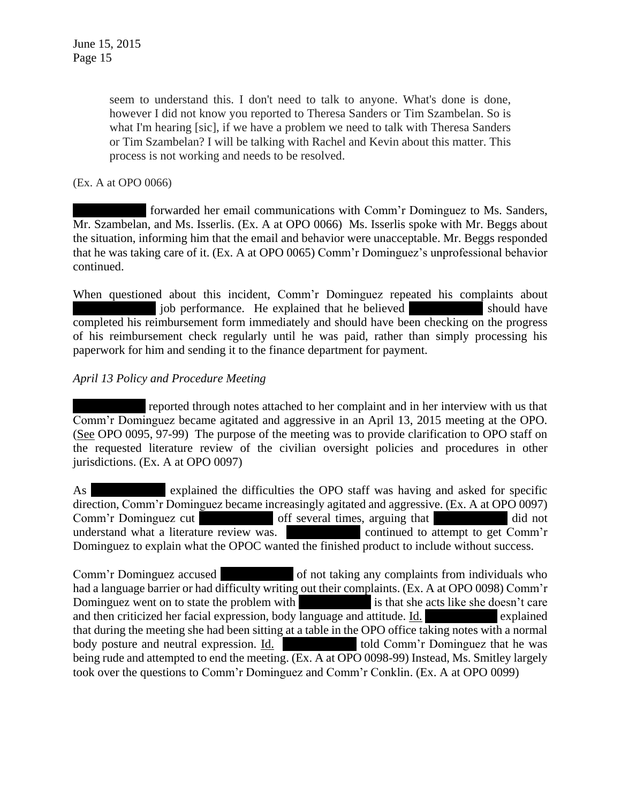> seem to understand this. I don't need to talk to anyone. What's done is done, however I did not know you reported to Theresa Sanders or Tim Szambelan. So is what I'm hearing [sic], if we have a problem we need to talk with Theresa Sanders or Tim Szambelan? I will be talking with Rachel and Kevin about this matter. This process is not working and needs to be resolved.

(Ex. A at OPO 0066)

forwarded her email communications with Comm'r Dominguez to Ms. Sanders, Mr. Szambelan, and Ms. Isserlis. (Ex. A at OPO 0066) Ms. Isserlis spoke with Mr. Beggs about the situation, informing him that the email and behavior were unacceptable. Mr. Beggs responded that he was taking care of it. (Ex. A at OPO 0065) Comm'r Dominguez's unprofessional behavior continued.

When questioned about this incident, Comm'r Dominguez repeated his complaints about iob performance. He explained that he believed should have completed his reimbursement form immediately and should have been checking on the progress of his reimbursement check regularly until he was paid, rather than simply processing his paperwork for him and sending it to the finance department for payment.

### *April 13 Policy and Procedure Meeting*

reported through notes attached to her complaint and in her interview with us that Comm'r Dominguez became agitated and aggressive in an April 13, 2015 meeting at the OPO. (See OPO 0095, 97-99) The purpose of the meeting was to provide clarification to OPO staff on the requested literature review of the civilian oversight policies and procedures in other jurisdictions. (Ex. A at OPO 0097)

As explained the difficulties the OPO staff was having and asked for specific direction, Comm'r Dominguez became increasingly agitated and aggressive. (Ex. A at OPO 0097) Comm'r Dominguez cut off several times, arguing that did not understand what a literature review was. Continued to attempt to get Comm'r Dominguez to explain what the OPOC wanted the finished product to include without success.

Comm'r Dominguez accused of not taking any complaints from individuals who had a language barrier or had difficulty writing out their complaints. (Ex. A at OPO 0098) Comm'r Dominguez went on to state the problem with  $\frac{1}{1-\frac{1}{\sqrt{1-\frac{1}{\sqrt{1-\frac{1}{\sqrt{1-\frac{1}{\sqrt{1-\frac{1}{\sqrt{1-\frac{1}{\sqrt{1-\frac{1}{\sqrt{1-\frac{1}{\sqrt{1-\frac{1}{\sqrt{1-\frac{1}{\sqrt{1-\frac{1}{\sqrt{1-\frac{1}{\sqrt{1-\frac{1}{\sqrt{1-\frac{1}{\sqrt{1-\frac{1}{\sqrt{1-\frac{1}{\sqrt{1-\frac{1}{\sqrt{1-\frac{1}{\sqrt{1-\frac{1}{\sqrt{1$ and then criticized her facial expression, body language and attitude. Id.  $\blacksquare$  explained that during the meeting she had been sitting at a table in the OPO office taking notes with a normal body posture and neutral expression. Id. Ms. Hold Comm'r Dominguez that he was being rude and attempted to end the meeting. (Ex. A at OPO 0098-99) Instead, Ms. Smitley largely took over the questions to Comm'r Dominguez and Comm'r Conklin. (Ex. A at OPO 0099)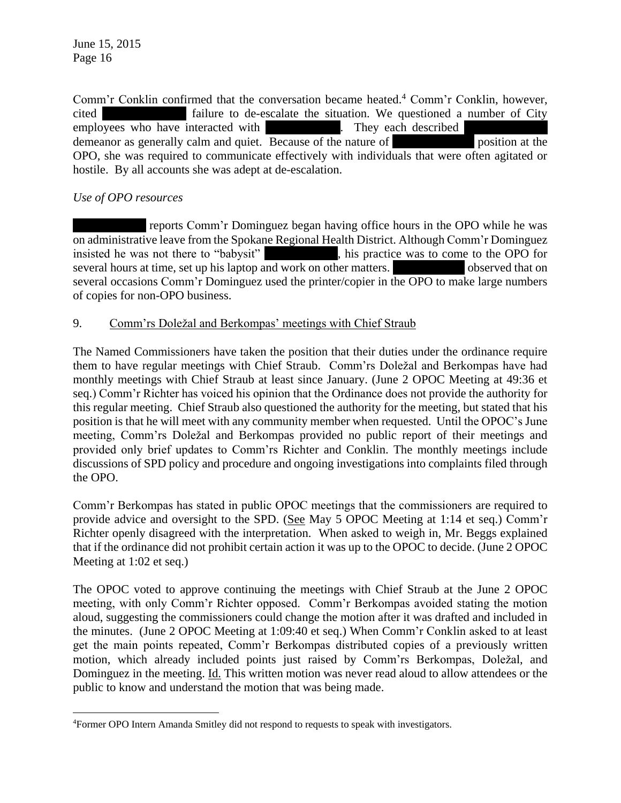Comm'r Conklin confirmed that the conversation became heated.<sup>4</sup> Comm'r Conklin, however, cited failure to de-escalate the situation. We questioned a number of City employees who have interacted with They each described demeanor as generally calm and quiet. Because of the nature of  $\sim$  position at the OPO, she was required to communicate effectively with individuals that were often agitated or hostile. By all accounts she was adept at de-escalation.

# *Use of OPO resources*

 $\overline{a}$ 

reports Comm'r Dominguez began having office hours in the OPO while he was on administrative leave from the Spokane Regional Health District. Although Comm'r Dominguez insisted he was not there to "babysit" his practice was to come to the OPO for several hours at time, set up his laptop and work on other matters. Several observed that on several occasions Comm'r Dominguez used the printer/copier in the OPO to make large numbers of copies for non-OPO business.

## 9. Comm'rs Doležal and Berkompas' meetings with Chief Straub

The Named Commissioners have taken the position that their duties under the ordinance require them to have regular meetings with Chief Straub. Comm'rs Doležal and Berkompas have had monthly meetings with Chief Straub at least since January. (June 2 OPOC Meeting at 49:36 et seq.) Comm'r Richter has voiced his opinion that the Ordinance does not provide the authority for this regular meeting. Chief Straub also questioned the authority for the meeting, but stated that his position is that he will meet with any community member when requested. Until the OPOC's June meeting, Comm'rs Doležal and Berkompas provided no public report of their meetings and provided only brief updates to Comm'rs Richter and Conklin. The monthly meetings include discussions of SPD policy and procedure and ongoing investigations into complaints filed through the OPO.

Comm'r Berkompas has stated in public OPOC meetings that the commissioners are required to provide advice and oversight to the SPD. (See May 5 OPOC Meeting at 1:14 et seq.) Comm'r Richter openly disagreed with the interpretation. When asked to weigh in, Mr. Beggs explained that if the ordinance did not prohibit certain action it was up to the OPOC to decide. (June 2 OPOC Meeting at 1:02 et seq.)

The OPOC voted to approve continuing the meetings with Chief Straub at the June 2 OPOC meeting, with only Comm'r Richter opposed. Comm'r Berkompas avoided stating the motion aloud, suggesting the commissioners could change the motion after it was drafted and included in the minutes. (June 2 OPOC Meeting at 1:09:40 et seq.) When Comm'r Conklin asked to at least get the main points repeated, Comm'r Berkompas distributed copies of a previously written motion, which already included points just raised by Comm'rs Berkompas, Doležal, and Dominguez in the meeting. Id. This written motion was never read aloud to allow attendees or the public to know and understand the motion that was being made.

<sup>4</sup>Former OPO Intern Amanda Smitley did not respond to requests to speak with investigators.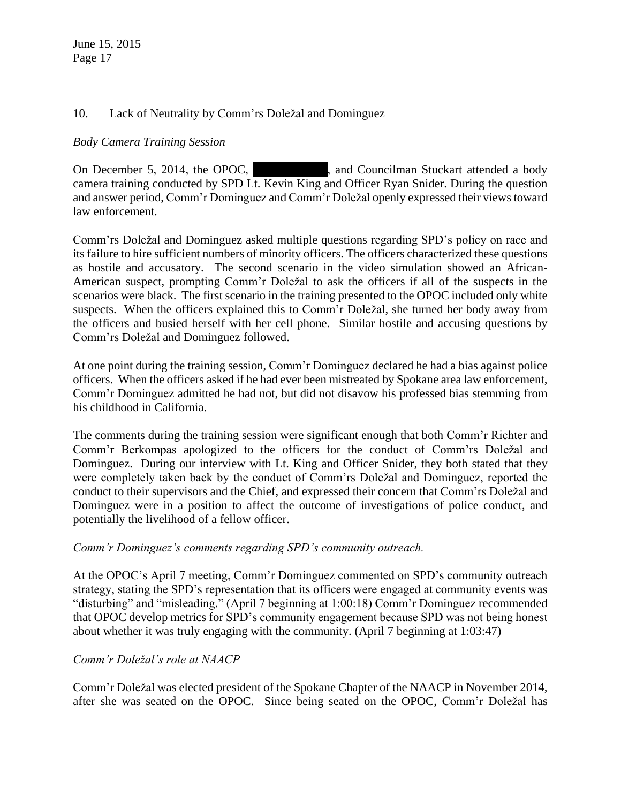### 10. Lack of Neutrality by Comm'rs Doležal and Dominguez

### *Body Camera Training Session*

On December 5, 2014, the OPOC, and Councilman Stuckart attended a body camera training conducted by SPD Lt. Kevin King and Officer Ryan Snider. During the question and answer period, Comm'r Dominguez and Comm'r Doležal openly expressed their views toward law enforcement.

Comm'rs Doležal and Dominguez asked multiple questions regarding SPD's policy on race and its failure to hire sufficient numbers of minority officers. The officers characterized these questions as hostile and accusatory. The second scenario in the video simulation showed an African-American suspect, prompting Comm'r Doležal to ask the officers if all of the suspects in the scenarios were black. The first scenario in the training presented to the OPOC included only white suspects. When the officers explained this to Comm'r Doležal, she turned her body away from the officers and busied herself with her cell phone. Similar hostile and accusing questions by Comm'rs Doležal and Dominguez followed.

At one point during the training session, Comm'r Dominguez declared he had a bias against police officers. When the officers asked if he had ever been mistreated by Spokane area law enforcement, Comm'r Dominguez admitted he had not, but did not disavow his professed bias stemming from his childhood in California.

The comments during the training session were significant enough that both Comm'r Richter and Comm'r Berkompas apologized to the officers for the conduct of Comm'rs Doležal and Dominguez. During our interview with Lt. King and Officer Snider, they both stated that they were completely taken back by the conduct of Comm'rs Doležal and Dominguez, reported the conduct to their supervisors and the Chief, and expressed their concern that Comm'rs Doležal and Dominguez were in a position to affect the outcome of investigations of police conduct, and potentially the livelihood of a fellow officer.

#### *Comm'r Dominguez's comments regarding SPD's community outreach.*

At the OPOC's April 7 meeting, Comm'r Dominguez commented on SPD's community outreach strategy, stating the SPD's representation that its officers were engaged at community events was "disturbing" and "misleading." (April 7 beginning at 1:00:18) Comm'r Dominguez recommended that OPOC develop metrics for SPD's community engagement because SPD was not being honest about whether it was truly engaging with the community. (April 7 beginning at 1:03:47)

## *Comm'r Doležal's role at NAACP*

Comm'r Doležal was elected president of the Spokane Chapter of the NAACP in November 2014, after she was seated on the OPOC. Since being seated on the OPOC, Comm'r Doležal has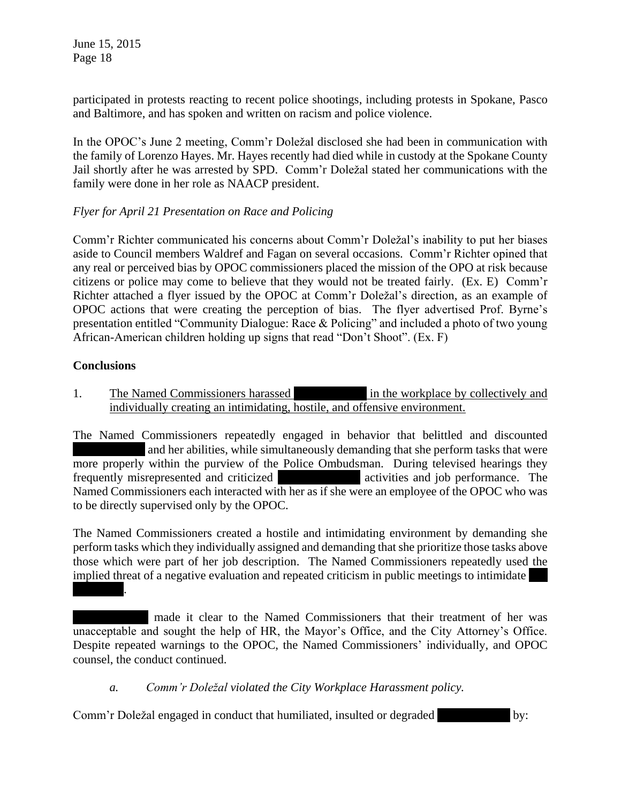participated in protests reacting to recent police shootings, including protests in Spokane, Pasco and Baltimore, and has spoken and written on racism and police violence.

In the OPOC's June 2 meeting, Comm'r Doležal disclosed she had been in communication with the family of Lorenzo Hayes. Mr. Hayes recently had died while in custody at the Spokane County Jail shortly after he was arrested by SPD. Comm'r Doležal stated her communications with the family were done in her role as NAACP president.

## *Flyer for April 21 Presentation on Race and Policing*

Comm'r Richter communicated his concerns about Comm'r Doležal's inability to put her biases aside to Council members Waldref and Fagan on several occasions. Comm'r Richter opined that any real or perceived bias by OPOC commissioners placed the mission of the OPO at risk because citizens or police may come to believe that they would not be treated fairly. (Ex. E) Comm'r Richter attached a flyer issued by the OPOC at Comm'r Doležal's direction, as an example of OPOC actions that were creating the perception of bias. The flyer advertised Prof. Byrne's presentation entitled "Community Dialogue: Race & Policing" and included a photo of two young African-American children holding up signs that read "Don't Shoot". (Ex. F)

#### **Conclusions**

1. The Named Commissioners harassed in the workplace by collectively and individually creating an intimidating, hostile, and offensive environment.

The Named Commissioners repeatedly engaged in behavior that belittled and discounted and her abilities, while simultaneously demanding that she perform tasks that were more properly within the purview of the Police Ombudsman. During televised hearings they frequently misrepresented and criticized activities and job performance. The Named Commissioners each interacted with her as if she were an employee of the OPOC who was to be directly supervised only by the OPOC.

The Named Commissioners created a hostile and intimidating environment by demanding she perform tasks which they individually assigned and demanding that she prioritize those tasks above those which were part of her job description. The Named Commissioners repeatedly used the implied threat of a negative evaluation and repeated criticism in public meetings to intimidate Hollwedel.

made it clear to the Named Commissioners that their treatment of her was unacceptable and sought the help of HR, the Mayor's Office, and the City Attorney's Office. Despite repeated warnings to the OPOC, the Named Commissioners' individually, and OPOC counsel, the conduct continued.

#### *a. Comm'r Doležal violated the City Workplace Harassment policy.*

Comm'r Doležal engaged in conduct that humiliated, insulted or degraded by: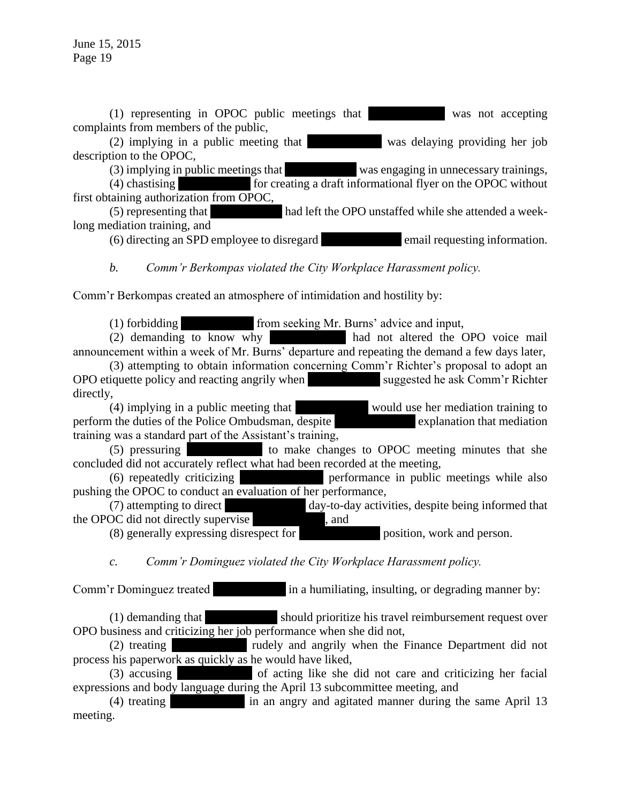$(1)$  representing in OPOC public meetings that was not accepting complaints from members of the public,

 $(2)$  implying in a public meeting that  $\blacksquare$  was delaying providing her job description to the OPOC,

 $(3)$  implying in public meetings that  $\blacksquare$  was engaging in unnecessary trainings,

 $(4)$  chastising for creating a draft informational flyer on the OPOC without first obtaining authorization from OPOC,

(5) representing that had left the OPO unstaffed while she attended a weeklong mediation training, and

(6) directing an SPD employee to disregard email requesting information.

*b. Comm'r Berkompas violated the City Workplace Harassment policy.*

Comm'r Berkompas created an atmosphere of intimidation and hostility by:

 $(1)$  forbidding from seeking Mr. Burns' advice and input,

(2) demanding to know why had not altered the OPO voice mail announcement within a week of Mr. Burns' departure and repeating the demand a few days later,

(3) attempting to obtain information concerning Comm'r Richter's proposal to adopt an OPO etiquette policy and reacting angrily when suggested he ask Comm'r Richter directly,

 $(4)$  implying in a public meeting that  $\blacksquare$  would use her mediation training to perform the duties of the Police Ombudsman, despite explanation that mediation training was a standard part of the Assistant's training,

 $(5)$  pressuring to make changes to OPOC meeting minutes that she concluded did not accurately reflect what had been recorded at the meeting,

 $(6)$  repeatedly criticizing  $\blacksquare$  performance in public meetings while also pushing the OPOC to conduct an evaluation of her performance,

(7) attempting to direct day-to-day activities, despite being informed that OC did not directly supervise the OPOC did not directly supervise

(8) generally expressing disrespect for position, work and person.

*c. Comm'r Dominguez violated the City Workplace Harassment policy.*

Comm'r Dominguez treated  $\lim_{n \to \infty}$  in a humiliating, insulting, or degrading manner by:

 $(1)$  demanding that  $\blacksquare$  should prioritize his travel reimbursement request over OPO business and criticizing her job performance when she did not,

(2) treating rudely and angrily when the Finance Department did not process his paperwork as quickly as he would have liked,

(3) accusing of acting like she did not care and criticizing her facial expressions and body language during the April 13 subcommittee meeting, and

(4) treating  $\frac{1}{3}$  in an angry and agitated manner during the same April 13 meeting.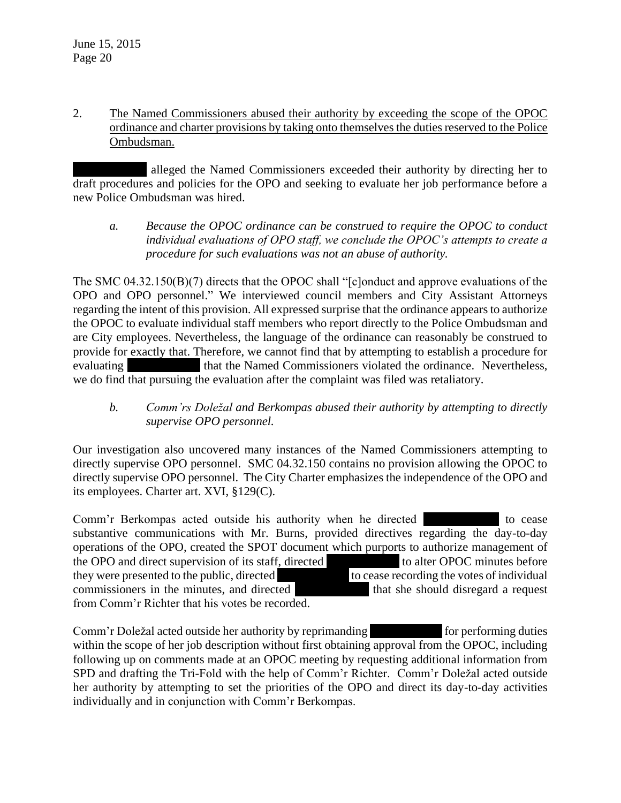2. The Named Commissioners abused their authority by exceeding the scope of the OPOC ordinance and charter provisions by taking onto themselves the duties reserved to the Police Ombudsman.

alleged the Named Commissioners exceeded their authority by directing her to draft procedures and policies for the OPO and seeking to evaluate her job performance before a new Police Ombudsman was hired.

*a. Because the OPOC ordinance can be construed to require the OPOC to conduct individual evaluations of OPO staff, we conclude the OPOC's attempts to create a procedure for such evaluations was not an abuse of authority.*

The SMC 04.32.150(B)(7) directs that the OPOC shall "[c]onduct and approve evaluations of the OPO and OPO personnel." We interviewed council members and City Assistant Attorneys regarding the intent of this provision. All expressed surprise that the ordinance appears to authorize the OPOC to evaluate individual staff members who report directly to the Police Ombudsman and are City employees. Nevertheless, the language of the ordinance can reasonably be construed to provide for exactly that. Therefore, we cannot find that by attempting to establish a procedure for evaluating that the Named Commissioners violated the ordinance. Nevertheless, we do find that pursuing the evaluation after the complaint was filed was retaliatory.

# *b. Comm'rs Doležal and Berkompas abused their authority by attempting to directly supervise OPO personnel.*

Our investigation also uncovered many instances of the Named Commissioners attempting to directly supervise OPO personnel. SMC 04.32.150 contains no provision allowing the OPOC to directly supervise OPO personnel. The City Charter emphasizes the independence of the OPO and its employees. Charter art. XVI, §129(C).

Comm'r Berkompas acted outside his authority when he directed to cease substantive communications with Mr. Burns, provided directives regarding the day-to-day operations of the OPO, created the SPOT document which purports to authorize management of the OPO and direct supervision of its staff, directed to alter OPOC minutes before they were presented to the public, directed to the subset of individual to cease recording the votes of individual commissioners in the minutes, and directed that she should disregard a request from Comm'r Richter that his votes be recorded.

Comm'r Doležal acted outside her authority by reprimanding for performing duties within the scope of her job description without first obtaining approval from the OPOC, including following up on comments made at an OPOC meeting by requesting additional information from SPD and drafting the Tri-Fold with the help of Comm'r Richter. Comm'r Doležal acted outside her authority by attempting to set the priorities of the OPO and direct its day-to-day activities individually and in conjunction with Comm'r Berkompas.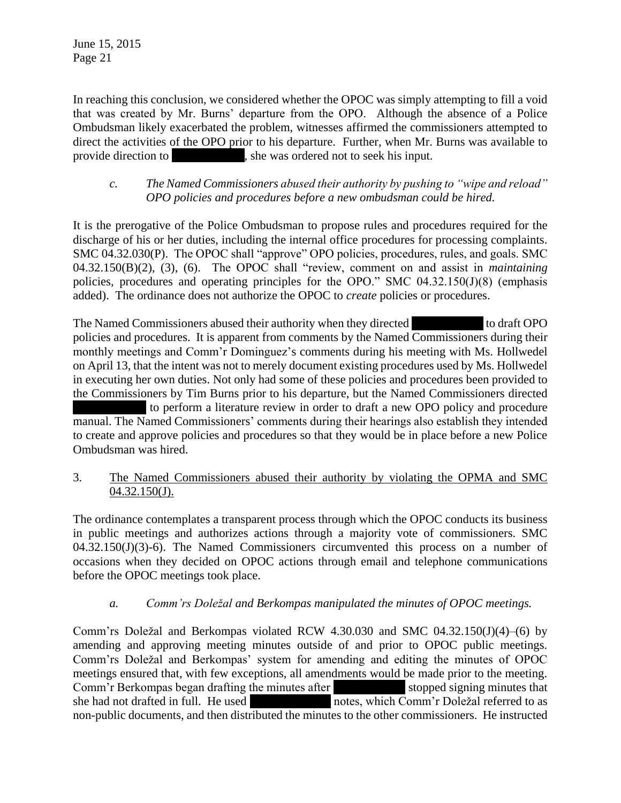In reaching this conclusion, we considered whether the OPOC was simply attempting to fill a void that was created by Mr. Burns' departure from the OPO. Although the absence of a Police Ombudsman likely exacerbated the problem, witnesses affirmed the commissioners attempted to direct the activities of the OPO prior to his departure. Further, when Mr. Burns was available to provide direction to  $\qquad \qquad$ , she was ordered not to seek his input.

### *c. The Named Commissioners abused their authority by pushing to "wipe and reload" OPO policies and procedures before a new ombudsman could be hired.*

It is the prerogative of the Police Ombudsman to propose rules and procedures required for the discharge of his or her duties, including the internal office procedures for processing complaints. SMC 04.32.030(P). The OPOC shall "approve" OPO policies, procedures, rules, and goals. SMC 04.32.150(B)(2), (3), (6). The OPOC shall "review, comment on and assist in *maintaining* policies, procedures and operating principles for the OPO." SMC 04.32.150(J)(8) (emphasis added). The ordinance does not authorize the OPOC to *create* policies or procedures.

The Named Commissioners abused their authority when they directed to draft OPO policies and procedures. It is apparent from comments by the Named Commissioners during their monthly meetings and Comm'r Dominguez's comments during his meeting with Ms. Hollwedel on April 13, that the intent was not to merely document existing procedures used by Ms. Hollwedel in executing her own duties. Not only had some of these policies and procedures been provided to the Commissioners by Tim Burns prior to his departure, but the Named Commissioners directed to perform a literature review in order to draft a new OPO policy and procedure manual. The Named Commissioners' comments during their hearings also establish they intended to create and approve policies and procedures so that they would be in place before a new Police Ombudsman was hired.

## 3. The Named Commissioners abused their authority by violating the OPMA and SMC  $04.32.150(J)$ .

The ordinance contemplates a transparent process through which the OPOC conducts its business in public meetings and authorizes actions through a majority vote of commissioners. SMC  $04.32.150(J)(3)$ -6). The Named Commissioners circumvented this process on a number of occasions when they decided on OPOC actions through email and telephone communications before the OPOC meetings took place.

## *a. Comm'rs Doležal and Berkompas manipulated the minutes of OPOC meetings.*

Comm'rs Doležal and Berkompas violated RCW 4.30.030 and SMC 04.32.150(J)(4)–(6) by amending and approving meeting minutes outside of and prior to OPOC public meetings. Comm'rs Doležal and Berkompas' system for amending and editing the minutes of OPOC meetings ensured that, with few exceptions, all amendments would be made prior to the meeting. Comm'r Berkompas began drafting the minutes after stopped signing minutes that she had not drafted in full. He used  $\overline{\text{notes. which Comm'}r}$  Doležal referred to as non-public documents, and then distributed the minutes to the other commissioners. He instructed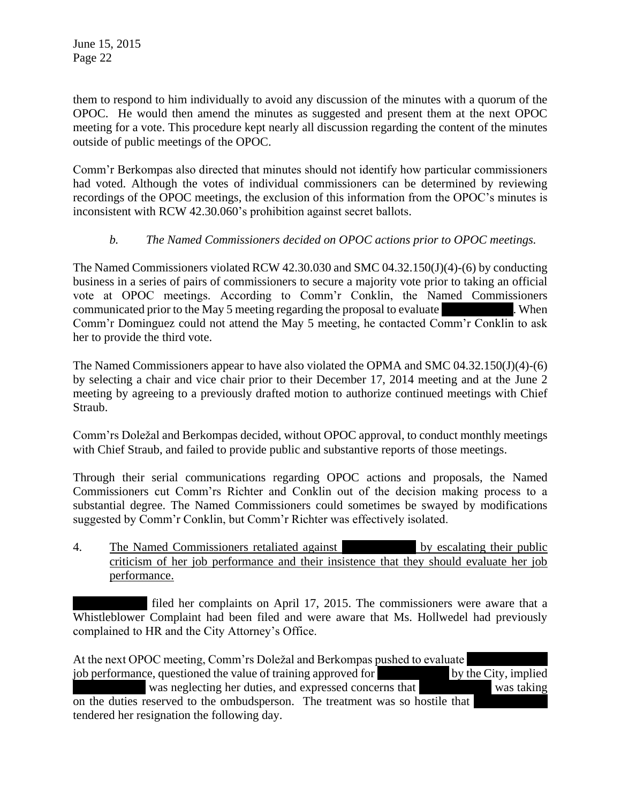them to respond to him individually to avoid any discussion of the minutes with a quorum of the OPOC. He would then amend the minutes as suggested and present them at the next OPOC meeting for a vote. This procedure kept nearly all discussion regarding the content of the minutes outside of public meetings of the OPOC.

Comm'r Berkompas also directed that minutes should not identify how particular commissioners had voted. Although the votes of individual commissioners can be determined by reviewing recordings of the OPOC meetings, the exclusion of this information from the OPOC's minutes is inconsistent with RCW 42.30.060's prohibition against secret ballots.

## *b. The Named Commissioners decided on OPOC actions prior to OPOC meetings.*

The Named Commissioners violated RCW 42.30.030 and SMC 04.32.150(J)(4)-(6) by conducting business in a series of pairs of commissioners to secure a majority vote prior to taking an official vote at OPOC meetings. According to Comm'r Conklin, the Named Commissioners communicated prior to the May 5 meeting regarding the proposal to evaluate Ms. When Comm'r Dominguez could not attend the May 5 meeting, he contacted Comm'r Conklin to ask her to provide the third vote.

The Named Commissioners appear to have also violated the OPMA and SMC 04.32.150(J)(4)-(6) by selecting a chair and vice chair prior to their December 17, 2014 meeting and at the June 2 meeting by agreeing to a previously drafted motion to authorize continued meetings with Chief Straub.

Comm'rs Doležal and Berkompas decided, without OPOC approval, to conduct monthly meetings with Chief Straub, and failed to provide public and substantive reports of those meetings.

Through their serial communications regarding OPOC actions and proposals, the Named Commissioners cut Comm'rs Richter and Conklin out of the decision making process to a substantial degree. The Named Commissioners could sometimes be swayed by modifications suggested by Comm'r Conklin, but Comm'r Richter was effectively isolated.

4. The Named Commissioners retaliated against **Music by escalating their public** criticism of her job performance and their insistence that they should evaluate her job performance.

filed her complaints on April 17, 2015. The commissioners were aware that a Whistleblower Complaint had been filed and were aware that Ms. Hollwedel had previously complained to HR and the City Attorney's Office.

At the next OPOC meeting, Comm'rs Doležal and Berkompas pushed to evaluate job performance, questioned the value of training approved for by the City, implied was neglecting her duties, and expressed concerns that was taking on the duties reserved to the ombudsperson. The treatment was so hostile that tendered her resignation the following day.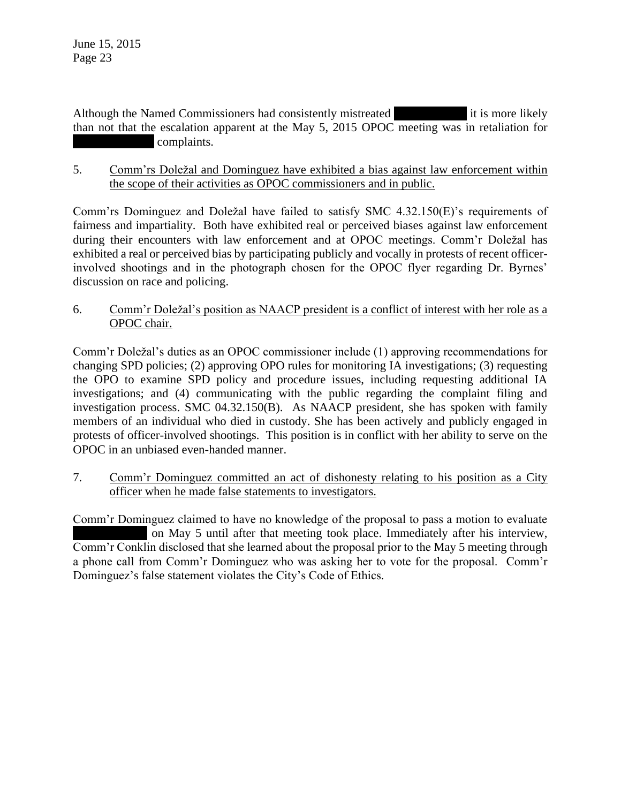Although the Named Commissioners had consistently mistreated it is more likely than not that the escalation apparent at the May 5, 2015 OPOC meeting was in retaliation for complaints.

5. Comm'rs Doležal and Dominguez have exhibited a bias against law enforcement within the scope of their activities as OPOC commissioners and in public.

Comm'rs Dominguez and Doležal have failed to satisfy SMC 4.32.150(E)'s requirements of fairness and impartiality. Both have exhibited real or perceived biases against law enforcement during their encounters with law enforcement and at OPOC meetings. Comm'r Doležal has exhibited a real or perceived bias by participating publicly and vocally in protests of recent officerinvolved shootings and in the photograph chosen for the OPOC flyer regarding Dr. Byrnes' discussion on race and policing.

6. Comm'r Doležal's position as NAACP president is a conflict of interest with her role as a OPOC chair.

Comm'r Doležal's duties as an OPOC commissioner include (1) approving recommendations for changing SPD policies; (2) approving OPO rules for monitoring IA investigations; (3) requesting the OPO to examine SPD policy and procedure issues, including requesting additional IA investigations; and (4) communicating with the public regarding the complaint filing and investigation process. SMC 04.32.150(B). As NAACP president, she has spoken with family members of an individual who died in custody. She has been actively and publicly engaged in protests of officer-involved shootings. This position is in conflict with her ability to serve on the OPOC in an unbiased even-handed manner.

7. Comm'r Dominguez committed an act of dishonesty relating to his position as a City officer when he made false statements to investigators.

Comm'r Dominguez claimed to have no knowledge of the proposal to pass a motion to evaluate on May 5 until after that meeting took place. Immediately after his interview, Comm'r Conklin disclosed that she learned about the proposal prior to the May 5 meeting through a phone call from Comm'r Dominguez who was asking her to vote for the proposal. Comm'r Dominguez's false statement violates the City's Code of Ethics.